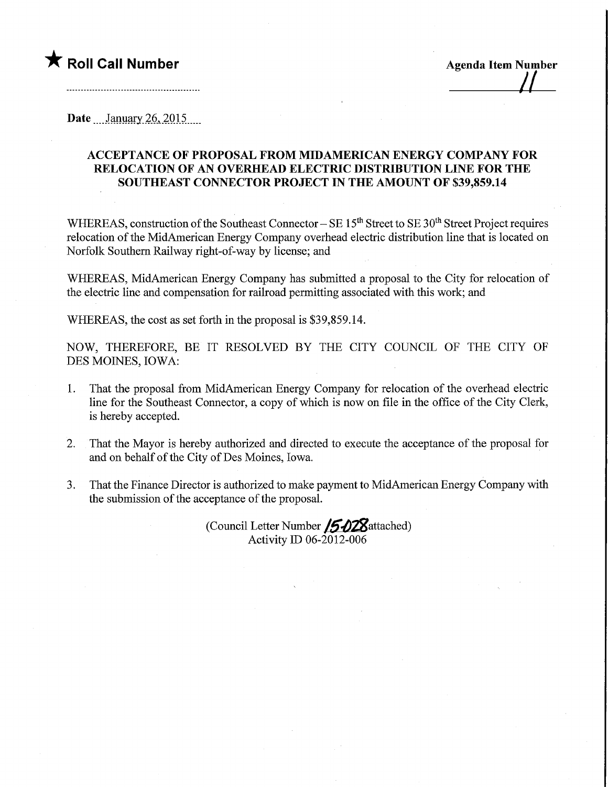## **★** Roll Call Number Agenda Item Number

Date  $\frac{\text{January } 26, 2015}{\text{Input } 2015}$ 

## ACCEPTANCE OF PROPOSAL FROM MIDAMERICAN ENERGY COMPANY FOR RELOCATION OF AN OVERHEAD ELECTRIC DISTRIBUTION LINE FOR THE SOUTHEAST CONNECTOR PROJECT IN THE AMOUNT OF \$39,859.14

WHEREAS, construction of the Southeast Connector - SE 15<sup>th</sup> Street to SE 30<sup>th</sup> Street Project requires relocation of the MidAmerican Energy Company overhead electric distribution line that is located on Norfolk Southern Railway right-of-way by license; and

WHEREAS, MidAmerican Energy Company has submitted a proposal to the City for relocation of the electric line and compensation for railroad permitting associated with this work; and

WHEREAS, the cost as set forth in the proposal is \$39,859.14.

NOW, THEREFORE, BE IT RESOLVED BY THE CITY COUNCIL OF THE CITY OF DES MOINES, IOWA:

- 1. That the proposal from MidAmerican Energy Company for relocation of the overhead electric line for the Southeast Connector, a copy of which is now on file in the office of the City Clerk, is hereby accepted.
- 2. That the Mayor is hereby authorized and directed to execute the acceptance of the proposal for and on behalf of the City of Des Moines, Iowa.
- 3. That the Finance Director is authorized to make payment to MidAmerican Energy Company with the submission of the acceptance of the proposal.

(Council Letter Number /5028attached) Activity ID 06-2012-006